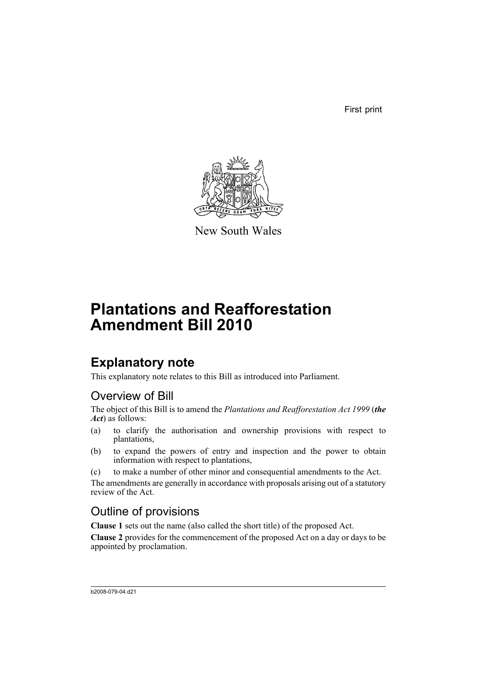First print



New South Wales

# **Plantations and Reafforestation Amendment Bill 2010**

## **Explanatory note**

This explanatory note relates to this Bill as introduced into Parliament.

### Overview of Bill

The object of this Bill is to amend the *Plantations and Reafforestation Act 1999* (*the Act*) as follows:

- (a) to clarify the authorisation and ownership provisions with respect to plantations,
- (b) to expand the powers of entry and inspection and the power to obtain information with respect to plantations,
- (c) to make a number of other minor and consequential amendments to the Act.

The amendments are generally in accordance with proposals arising out of a statutory review of the Act.

### Outline of provisions

**Clause 1** sets out the name (also called the short title) of the proposed Act.

**Clause 2** provides for the commencement of the proposed Act on a day or days to be appointed by proclamation.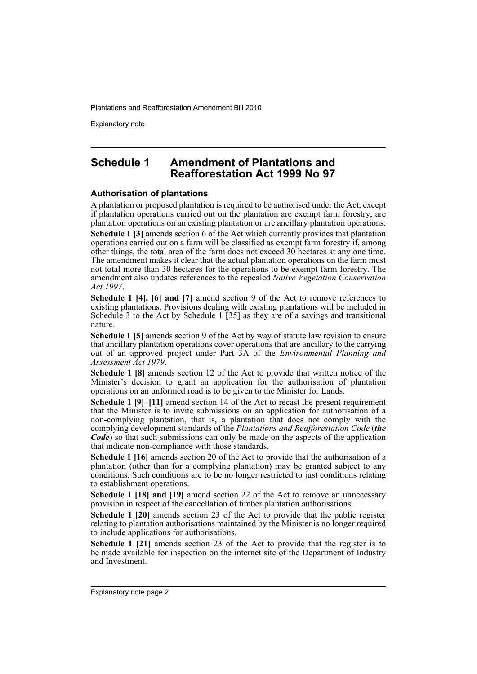Explanatory note

### **Schedule 1 Amendment of Plantations and Reafforestation Act 1999 No 97**

### **Authorisation of plantations**

A plantation or proposed plantation is required to be authorised under the Act, except if plantation operations carried out on the plantation are exempt farm forestry, are plantation operations on an existing plantation or are ancillary plantation operations.

**Schedule 1 [3]** amends section 6 of the Act which currently provides that plantation operations carried out on a farm will be classified as exempt farm forestry if, among other things, the total area of the farm does not exceed 30 hectares at any one time. The amendment makes it clear that the actual plantation operations on the farm must not total more than 30 hectares for the operations to be exempt farm forestry. The amendment also updates references to the repealed *Native Vegetation Conservation Act 1997*.

**Schedule 1 [4], [6] and [7]** amend section 9 of the Act to remove references to existing plantations. Provisions dealing with existing plantations will be included in Schedule 3 to the Act by Schedule 1  $\overline{35}$  as they are of a savings and transitional nature.

**Schedule 1 [5]** amends section 9 of the Act by way of statute law revision to ensure that ancillary plantation operations cover operations that are ancillary to the carrying out of an approved project under Part 3A of the *Environmental Planning and Assessment Act 1979*.

**Schedule 1 [8]** amends section 12 of the Act to provide that written notice of the Minister's decision to grant an application for the authorisation of plantation operations on an unformed road is to be given to the Minister for Lands.

**Schedule 1 [9]–[11]** amend section 14 of the Act to recast the present requirement that the Minister is to invite submissions on an application for authorisation of a non-complying plantation, that is, a plantation that does not comply with the complying development standards of the *Plantations and Reafforestation Code* (*the Code*) so that such submissions can only be made on the aspects of the application that indicate non-compliance with those standards.

**Schedule 1 [16]** amends section 20 of the Act to provide that the authorisation of a plantation (other than for a complying plantation) may be granted subject to any conditions. Such conditions are to be no longer restricted to just conditions relating to establishment operations.

**Schedule 1 [18] and [19]** amend section 22 of the Act to remove an unnecessary provision in respect of the cancellation of timber plantation authorisations.

**Schedule 1 [20]** amends section 23 of the Act to provide that the public register relating to plantation authorisations maintained by the Minister is no longer required to include applications for authorisations.

**Schedule 1 [21]** amends section 23 of the Act to provide that the register is to be made available for inspection on the internet site of the Department of Industry and Investment.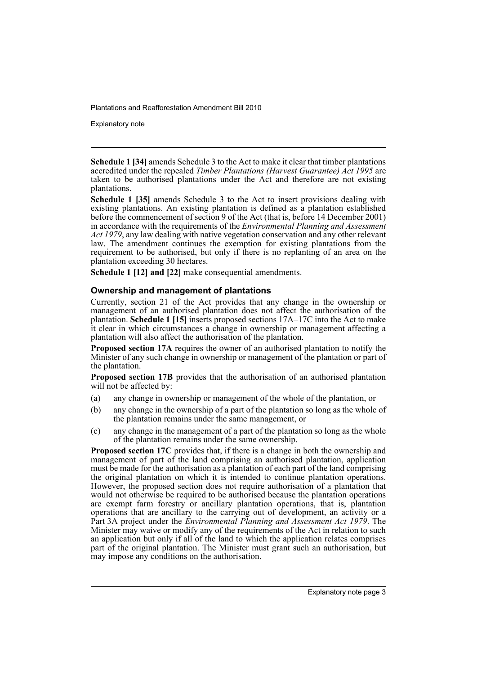Explanatory note

**Schedule 1 [34]** amends Schedule 3 to the Act to make it clear that timber plantations accredited under the repealed *Timber Plantations (Harvest Guarantee) Act 1995* are taken to be authorised plantations under the Act and therefore are not existing plantations.

**Schedule 1 [35]** amends Schedule 3 to the Act to insert provisions dealing with existing plantations. An existing plantation is defined as a plantation established before the commencement of section 9 of the Act (that is, before 14 December 2001) in accordance with the requirements of the *Environmental Planning and Assessment Act 1979*, any law dealing with native vegetation conservation and any other relevant law. The amendment continues the exemption for existing plantations from the requirement to be authorised, but only if there is no replanting of an area on the plantation exceeding 30 hectares.

**Schedule 1 [12] and [22]** make consequential amendments.

### **Ownership and management of plantations**

Currently, section 21 of the Act provides that any change in the ownership or management of an authorised plantation does not affect the authorisation of the plantation. **Schedule 1 [15]** inserts proposed sections 17A–17C into the Act to make it clear in which circumstances a change in ownership or management affecting a plantation will also affect the authorisation of the plantation.

**Proposed section 17A** requires the owner of an authorised plantation to notify the Minister of any such change in ownership or management of the plantation or part of the plantation.

**Proposed section 17B** provides that the authorisation of an authorised plantation will not be affected by:

- (a) any change in ownership or management of the whole of the plantation, or
- (b) any change in the ownership of a part of the plantation so long as the whole of the plantation remains under the same management, or
- (c) any change in the management of a part of the plantation so long as the whole of the plantation remains under the same ownership.

**Proposed section 17C** provides that, if there is a change in both the ownership and management of part of the land comprising an authorised plantation, application must be made for the authorisation as a plantation of each part of the land comprising the original plantation on which it is intended to continue plantation operations. However, the proposed section does not require authorisation of a plantation that would not otherwise be required to be authorised because the plantation operations are exempt farm forestry or ancillary plantation operations, that is, plantation operations that are ancillary to the carrying out of development, an activity or a Part 3A project under the *Environmental Planning and Assessment Act 1979*. The Minister may waive or modify any of the requirements of the Act in relation to such an application but only if all of the land to which the application relates comprises part of the original plantation. The Minister must grant such an authorisation, but may impose any conditions on the authorisation.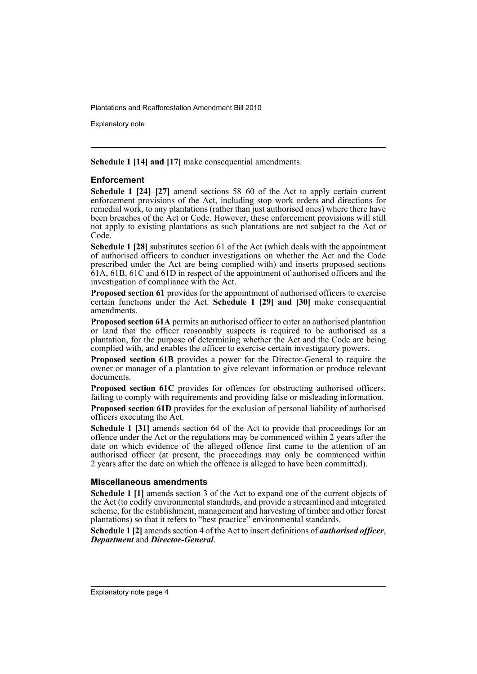Explanatory note

**Schedule 1 [14] and [17]** make consequential amendments.

### **Enforcement**

**Schedule 1 [24]–[27]** amend sections 58–60 of the Act to apply certain current enforcement provisions of the Act, including stop work orders and directions for remedial work, to any plantations (rather than just authorised ones) where there have been breaches of the Act or Code. However, these enforcement provisions will still not apply to existing plantations as such plantations are not subject to the Act or Code.

**Schedule 1 [28]** substitutes section 61 of the Act (which deals with the appointment of authorised officers to conduct investigations on whether the Act and the Code prescribed under the Act are being complied with) and inserts proposed sections 61A, 61B, 61C and 61D in respect of the appointment of authorised officers and the investigation of compliance with the Act.

**Proposed section 61** provides for the appointment of authorised officers to exercise certain functions under the Act. **Schedule 1 [29] and [30]** make consequential amendments.

**Proposed section 61A** permits an authorised officer to enter an authorised plantation or land that the officer reasonably suspects is required to be authorised as a plantation, for the purpose of determining whether the Act and the Code are being complied with, and enables the officer to exercise certain investigatory powers.

**Proposed section 61B** provides a power for the Director-General to require the owner or manager of a plantation to give relevant information or produce relevant documents.

**Proposed section 61C** provides for offences for obstructing authorised officers, failing to comply with requirements and providing false or misleading information.

**Proposed section 61D** provides for the exclusion of personal liability of authorised officers executing the Act.

**Schedule 1 [31]** amends section 64 of the Act to provide that proceedings for an offence under the Act or the regulations may be commenced within 2 years after the date on which evidence of the alleged offence first came to the attention of an authorised officer (at present, the proceedings may only be commenced within 2 years after the date on which the offence is alleged to have been committed).

### **Miscellaneous amendments**

**Schedule 1 [1]** amends section 3 of the Act to expand one of the current objects of the Act (to codify environmental standards, and provide a streamlined and integrated scheme, for the establishment, management and harvesting of timber and other forest plantations) so that it refers to "best practice" environmental standards.

**Schedule 1 [2]** amends section 4 of the Act to insert definitions of *authorised officer*, *Department* and *Director-General*.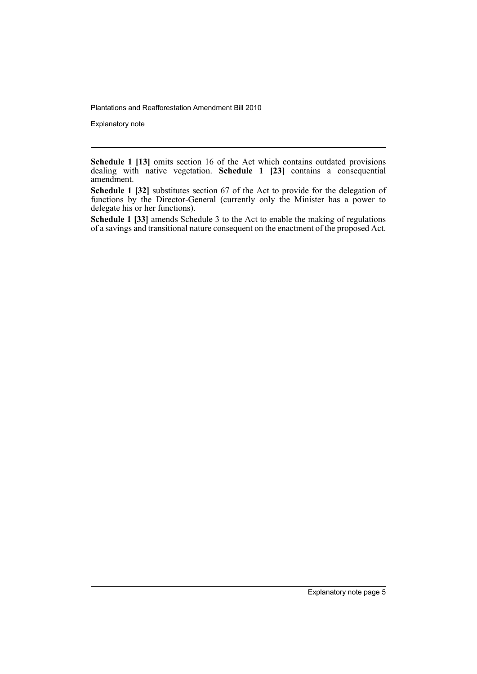Explanatory note

**Schedule 1 [13]** omits section 16 of the Act which contains outdated provisions dealing with native vegetation. **Schedule 1 [23]** contains a consequential amendment.

**Schedule 1 [32]** substitutes section 67 of the Act to provide for the delegation of functions by the Director-General (currently only the Minister has a power to delegate his or her functions).

**Schedule 1 [33]** amends Schedule 3 to the Act to enable the making of regulations of a savings and transitional nature consequent on the enactment of the proposed Act.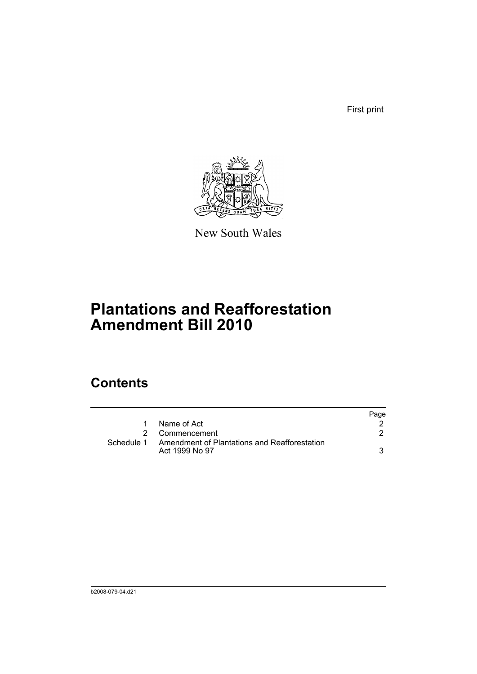First print



New South Wales

# **Plantations and Reafforestation Amendment Bill 2010**

## **Contents**

|            |                                                                | Page |
|------------|----------------------------------------------------------------|------|
| 1          | Name of Act                                                    |      |
|            | 2 Commencement                                                 |      |
| Schedule 1 | Amendment of Plantations and Reafforestation<br>Act 1999 No 97 |      |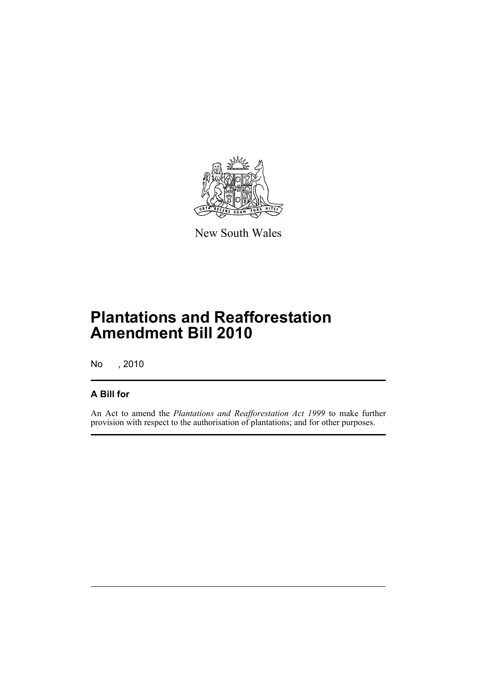

New South Wales

# **Plantations and Reafforestation Amendment Bill 2010**

No , 2010

### **A Bill for**

An Act to amend the *Plantations and Reafforestation Act 1999* to make further provision with respect to the authorisation of plantations; and for other purposes.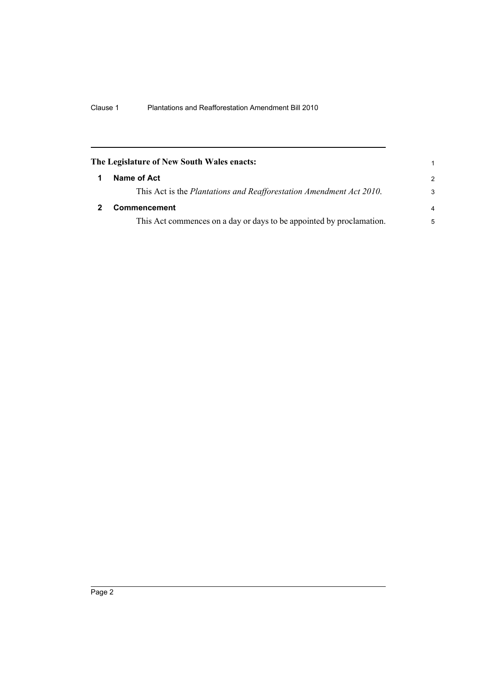<span id="page-9-1"></span><span id="page-9-0"></span>

| The Legislature of New South Wales enacts:                           | 1             |
|----------------------------------------------------------------------|---------------|
| Name of Act                                                          | $\mathcal{P}$ |
| This Act is the Plantations and Reafforestation Amendment Act 2010.  | 3             |
| <b>Commencement</b>                                                  | 4             |
| This Act commences on a day or days to be appointed by proclamation. | 5             |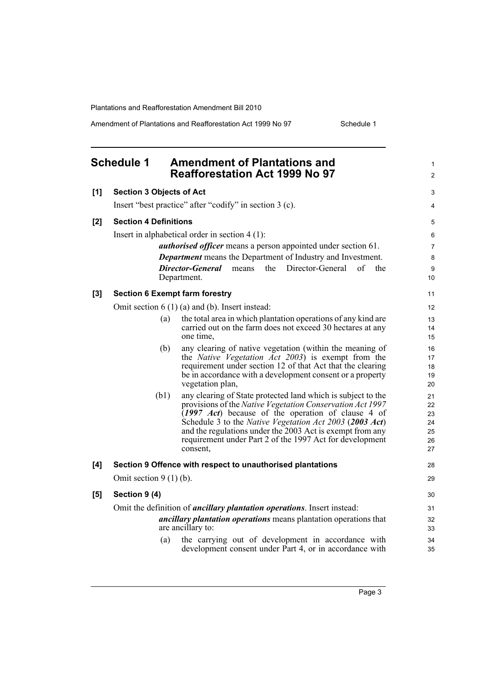Amendment of Plantations and Reafforestation Act 1999 No 97 Schedule 1

<span id="page-10-0"></span>

|     | <b>Schedule 1</b>                     | <b>Amendment of Plantations and</b><br><b>Reafforestation Act 1999 No 97</b>                                             | 1<br>$\overline{c}$ |
|-----|---------------------------------------|--------------------------------------------------------------------------------------------------------------------------|---------------------|
| [1] | <b>Section 3 Objects of Act</b>       |                                                                                                                          | 3                   |
|     |                                       | Insert "best practice" after "codify" in section 3 (c).                                                                  | 4                   |
| [2] | <b>Section 4 Definitions</b>          |                                                                                                                          | 5                   |
|     |                                       | Insert in alphabetical order in section $4(1)$ :                                                                         | 6                   |
|     |                                       | <i>authorised officer</i> means a person appointed under section 61.                                                     | $\overline{7}$      |
|     |                                       | <b>Department</b> means the Department of Industry and Investment.                                                       | 8                   |
|     |                                       | Director-General<br>Director-General<br>the<br>of<br>the<br>means<br>Department.                                         | 9<br>10             |
| [3] | <b>Section 6 Exempt farm forestry</b> |                                                                                                                          | 11                  |
|     |                                       | Omit section $6(1)(a)$ and (b). Insert instead:                                                                          | 12                  |
|     | (a)                                   | the total area in which plantation operations of any kind are                                                            | 13                  |
|     |                                       | carried out on the farm does not exceed 30 hectares at any<br>one time,                                                  | 14<br>15            |
|     | (b)                                   | any clearing of native vegetation (within the meaning of                                                                 | 16                  |
|     |                                       | the <i>Native Vegetation Act 2003</i> ) is exempt from the<br>requirement under section 12 of that Act that the clearing | 17<br>18            |
|     |                                       | be in accordance with a development consent or a property                                                                | 19                  |
|     |                                       | vegetation plan,                                                                                                         | 20                  |
|     | (b1)                                  | any clearing of State protected land which is subject to the                                                             | 21                  |
|     |                                       | provisions of the Native Vegetation Conservation Act 1997<br>(1997 Act) because of the operation of clause 4 of          | 22<br>23            |
|     |                                       | Schedule 3 to the Native Vegetation Act 2003 (2003 Act)                                                                  | 24                  |
|     |                                       | and the regulations under the 2003 Act is exempt from any                                                                | 25                  |
|     |                                       | requirement under Part 2 of the 1997 Act for development<br>consent,                                                     | 26<br>27            |
| [4] |                                       | Section 9 Offence with respect to unauthorised plantations                                                               | 28                  |
|     | Omit section $9(1)(b)$ .              |                                                                                                                          | 29                  |
| [5] | Section 9 (4)                         |                                                                                                                          | 30                  |
|     |                                       | Omit the definition of <i>ancillary plantation operations</i> . Insert instead:                                          | 31                  |
|     |                                       | <i>ancillary plantation operations</i> means plantation operations that<br>are ancillary to:                             | 32<br>33            |
|     | (a)                                   | the carrying out of development in accordance with<br>development consent under Part 4, or in accordance with            | 34<br>35            |
|     |                                       |                                                                                                                          |                     |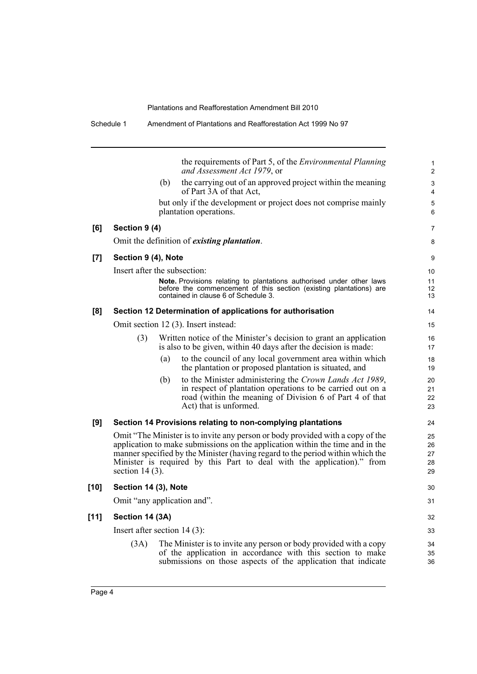|        |                                |     | the requirements of Part 5, of the <i>Environmental Planning</i><br>and Assessment Act 1979, or                                                                                                                                                                                                                             |
|--------|--------------------------------|-----|-----------------------------------------------------------------------------------------------------------------------------------------------------------------------------------------------------------------------------------------------------------------------------------------------------------------------------|
|        |                                | (b) | the carrying out of an approved project within the meaning<br>of Part 3A of that Act,                                                                                                                                                                                                                                       |
|        |                                |     | but only if the development or project does not comprise mainly<br>plantation operations.                                                                                                                                                                                                                                   |
| [6]    | Section 9 (4)                  |     |                                                                                                                                                                                                                                                                                                                             |
|        |                                |     | Omit the definition of <i>existing plantation</i> .                                                                                                                                                                                                                                                                         |
| [7]    | Section 9 (4), Note            |     |                                                                                                                                                                                                                                                                                                                             |
|        | Insert after the subsection:   |     |                                                                                                                                                                                                                                                                                                                             |
|        |                                |     | Note. Provisions relating to plantations authorised under other laws<br>before the commencement of this section (existing plantations) are<br>contained in clause 6 of Schedule 3.                                                                                                                                          |
| [8]    |                                |     | Section 12 Determination of applications for authorisation                                                                                                                                                                                                                                                                  |
|        |                                |     | Omit section 12 (3). Insert instead:                                                                                                                                                                                                                                                                                        |
|        | (3)                            |     | Written notice of the Minister's decision to grant an application<br>is also to be given, within 40 days after the decision is made:                                                                                                                                                                                        |
|        |                                | (a) | to the council of any local government area within which<br>the plantation or proposed plantation is situated, and                                                                                                                                                                                                          |
|        |                                | (b) | to the Minister administering the Crown Lands Act 1989,<br>in respect of plantation operations to be carried out on a<br>road (within the meaning of Division 6 of Part 4 of that<br>Act) that is unformed.                                                                                                                 |
| [9]    |                                |     | Section 14 Provisions relating to non-complying plantations                                                                                                                                                                                                                                                                 |
|        | section $14(3)$ .              |     | Omit "The Minister is to invite any person or body provided with a copy of the<br>application to make submissions on the application within the time and in the<br>manner specified by the Minister (having regard to the period within which the<br>Minister is required by this Part to deal with the application)." from |
| $[10]$ | Section 14 (3), Note           |     |                                                                                                                                                                                                                                                                                                                             |
|        | Omit "any application and".    |     |                                                                                                                                                                                                                                                                                                                             |
| $[11]$ | Section 14 (3A)                |     |                                                                                                                                                                                                                                                                                                                             |
|        | Insert after section $14(3)$ : |     |                                                                                                                                                                                                                                                                                                                             |
|        | (3A)                           |     | The Minister is to invite any person or body provided with a copy<br>of the application in accordance with this section to make<br>submissions on those aspects of the application that indicate                                                                                                                            |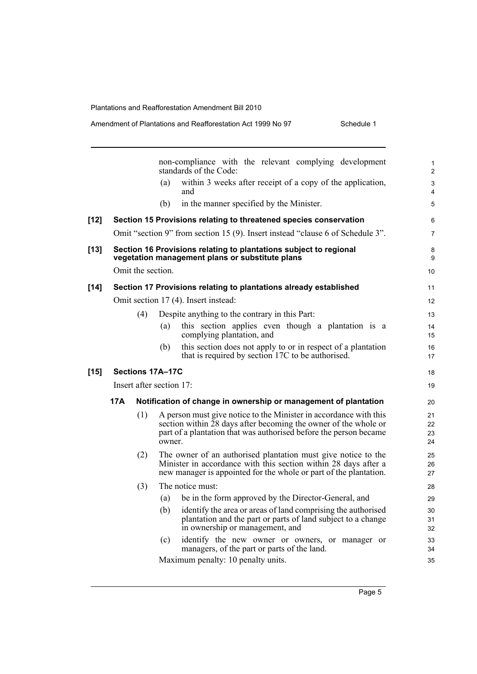|        |     |                   |                          | non-compliance with the relevant complying development<br>standards of the Code:                                                                                                                          | 1<br>$\overline{2}$  |
|--------|-----|-------------------|--------------------------|-----------------------------------------------------------------------------------------------------------------------------------------------------------------------------------------------------------|----------------------|
|        |     |                   | (a)                      | within 3 weeks after receipt of a copy of the application,<br>and                                                                                                                                         | 3<br>$\overline{4}$  |
|        |     |                   | (b)                      | in the manner specified by the Minister.                                                                                                                                                                  | 5                    |
| [12]   |     |                   |                          | Section 15 Provisions relating to threatened species conservation                                                                                                                                         | 6                    |
|        |     |                   |                          | Omit "section 9" from section 15 (9). Insert instead "clause 6 of Schedule 3".                                                                                                                            | $\overline{7}$       |
| [13]   |     |                   |                          | Section 16 Provisions relating to plantations subject to regional<br>vegetation management plans or substitute plans                                                                                      | 8<br>9               |
|        |     | Omit the section. |                          |                                                                                                                                                                                                           | 10                   |
| $[14]$ |     |                   |                          | Section 17 Provisions relating to plantations already established                                                                                                                                         | 11                   |
|        |     |                   |                          | Omit section 17 (4). Insert instead:                                                                                                                                                                      | 12                   |
|        |     | (4)               |                          | Despite anything to the contrary in this Part:                                                                                                                                                            | 13                   |
|        |     |                   | (a)                      | this section applies even though a plantation is a<br>complying plantation, and                                                                                                                           | 14<br>15             |
|        |     |                   | (b)                      | this section does not apply to or in respect of a plantation<br>that is required by section 17C to be authorised.                                                                                         | 16<br>17             |
| $[15]$ |     |                   | Sections 17A-17C         |                                                                                                                                                                                                           | 18                   |
|        |     |                   | Insert after section 17: |                                                                                                                                                                                                           | 19                   |
|        | 17A |                   |                          | Notification of change in ownership or management of plantation                                                                                                                                           | 20                   |
|        |     | (1)               | owner.                   | A person must give notice to the Minister in accordance with this<br>section within 28 days after becoming the owner of the whole or<br>part of a plantation that was authorised before the person became | 21<br>22<br>23<br>24 |
|        |     | (2)               |                          | The owner of an authorised plantation must give notice to the<br>Minister in accordance with this section within 28 days after a<br>new manager is appointed for the whole or part of the plantation.     | 25<br>26<br>27       |
|        |     | (3)               |                          | The notice must:                                                                                                                                                                                          | 28                   |
|        |     |                   | (a)                      | be in the form approved by the Director-General, and                                                                                                                                                      | 29                   |
|        |     |                   | (b)                      | identify the area or areas of land comprising the authorised<br>plantation and the part or parts of land subject to a change<br>in ownership or management, and                                           | 30<br>31<br>32       |
|        |     |                   | (c)                      | identify the new owner or owners, or manager or<br>managers, of the part or parts of the land.                                                                                                            | 33<br>34             |
|        |     |                   |                          | Maximum penalty: 10 penalty units.                                                                                                                                                                        | 35                   |

Page 5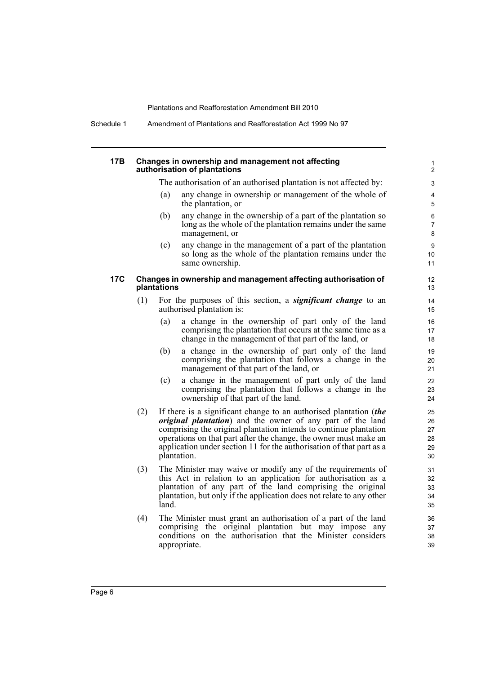Schedule 1 Amendment of Plantations and Reafforestation Act 1999 No 97

#### **17B Changes in ownership and management not affecting authorisation of plantations**

The authorisation of an authorised plantation is not affected by:

- (a) any change in ownership or management of the whole of the plantation, or
- (b) any change in the ownership of a part of the plantation so long as the whole of the plantation remains under the same management, or
- (c) any change in the management of a part of the plantation so long as the whole of the plantation remains under the same ownership.

#### **17C Changes in ownership and management affecting authorisation of plantations**

- (1) For the purposes of this section, a *significant change* to an authorised plantation is:
	- (a) a change in the ownership of part only of the land comprising the plantation that occurs at the same time as a change in the management of that part of the land, or
	- (b) a change in the ownership of part only of the land comprising the plantation that follows a change in the management of that part of the land, or
	- (c) a change in the management of part only of the land comprising the plantation that follows a change in the ownership of that part of the land.
- (2) If there is a significant change to an authorised plantation (*the original plantation*) and the owner of any part of the land comprising the original plantation intends to continue plantation operations on that part after the change, the owner must make an application under section 11 for the authorisation of that part as a plantation.
- (3) The Minister may waive or modify any of the requirements of this Act in relation to an application for authorisation as a plantation of any part of the land comprising the original plantation, but only if the application does not relate to any other land.
- (4) The Minister must grant an authorisation of a part of the land comprising the original plantation but may impose any conditions on the authorisation that the Minister considers appropriate.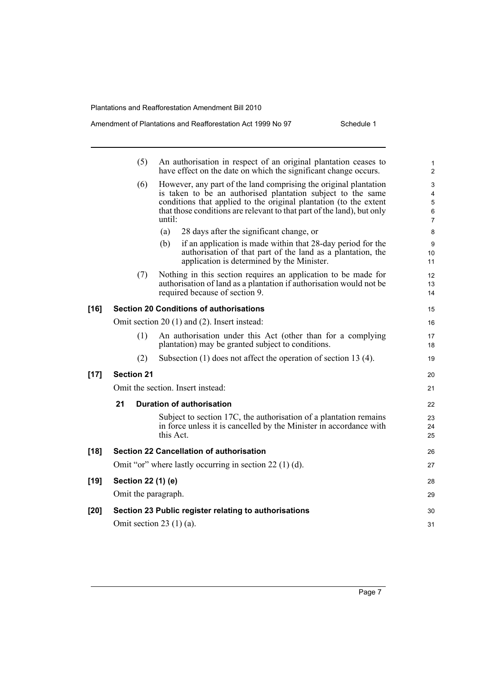|        | (5)                 | An authorisation in respect of an original plantation ceases to<br>have effect on the date on which the significant change occurs.      | 1<br>$\overline{2}$ |
|--------|---------------------|-----------------------------------------------------------------------------------------------------------------------------------------|---------------------|
|        | (6)                 | However, any part of the land comprising the original plantation                                                                        | 3                   |
|        |                     | is taken to be an authorised plantation subject to the same                                                                             | 4                   |
|        |                     | conditions that applied to the original plantation (to the extent                                                                       | 5                   |
|        |                     | that those conditions are relevant to that part of the land), but only<br>until:                                                        | 6<br>$\overline{7}$ |
|        |                     | (a)<br>28 days after the significant change, or                                                                                         | 8                   |
|        |                     | if an application is made within that 28-day period for the<br>(b)                                                                      | 9                   |
|        |                     | authorisation of that part of the land as a plantation, the                                                                             | 10                  |
|        |                     | application is determined by the Minister.                                                                                              | 11                  |
|        | (7)                 | Nothing in this section requires an application to be made for                                                                          | 12                  |
|        |                     | authorisation of land as a plantation if authorisation would not be                                                                     | 13                  |
|        |                     | required because of section 9.                                                                                                          | 14                  |
| $[16]$ |                     | <b>Section 20 Conditions of authorisations</b>                                                                                          | 15                  |
|        |                     | Omit section 20 (1) and (2). Insert instead:                                                                                            | 16                  |
|        | (1)                 | An authorisation under this Act (other than for a complying                                                                             | 17                  |
|        |                     | plantation) may be granted subject to conditions.                                                                                       | 18                  |
|        | (2)                 | Subsection $(1)$ does not affect the operation of section 13 $(4)$ .                                                                    | 19                  |
| $[17]$ | <b>Section 21</b>   |                                                                                                                                         | 20                  |
|        |                     | Omit the section. Insert instead:                                                                                                       | 21                  |
|        | 21                  | <b>Duration of authorisation</b>                                                                                                        | 22                  |
|        |                     |                                                                                                                                         |                     |
|        |                     | Subject to section 17C, the authorisation of a plantation remains<br>in force unless it is cancelled by the Minister in accordance with | 23<br>24            |
|        |                     | this Act.                                                                                                                               | 25                  |
|        |                     |                                                                                                                                         |                     |
| $[18]$ |                     | <b>Section 22 Cancellation of authorisation</b>                                                                                         | 26                  |
|        |                     | Omit "or" where lastly occurring in section $22(1)(d)$ .                                                                                | 27                  |
| $[19]$ | Section 22 (1) (e)  |                                                                                                                                         | 28                  |
|        | Omit the paragraph. |                                                                                                                                         | 29                  |
| $[20]$ |                     | Section 23 Public register relating to authorisations                                                                                   | 30                  |
|        |                     | Omit section 23 $(1)$ (a).                                                                                                              | 31                  |
|        |                     |                                                                                                                                         |                     |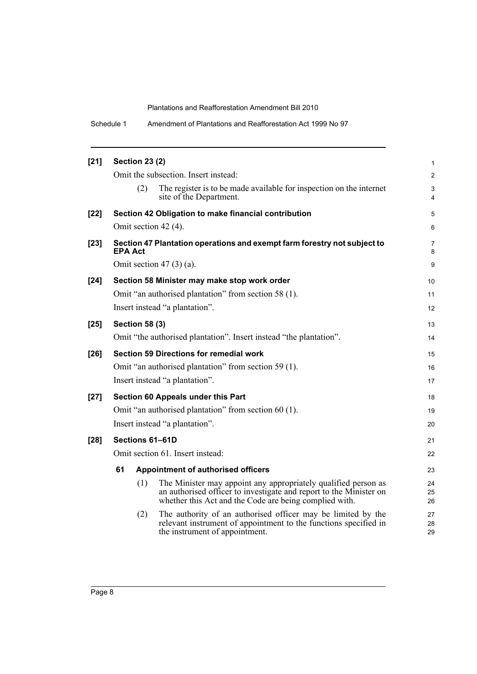Schedule 1 Amendment of Plantations and Reafforestation Act 1999 No 97

| $[21]$ | <b>Section 23 (2)</b> |                                                                                                                                                                                                | 1              |
|--------|-----------------------|------------------------------------------------------------------------------------------------------------------------------------------------------------------------------------------------|----------------|
|        |                       | Omit the subsection. Insert instead:                                                                                                                                                           | $\overline{c}$ |
|        | (2)                   | The register is to be made available for inspection on the internet<br>site of the Department.                                                                                                 | 3<br>4         |
| $[22]$ |                       | Section 42 Obligation to make financial contribution                                                                                                                                           | 5              |
|        | Omit section 42 (4).  |                                                                                                                                                                                                | 6              |
| $[23]$ | <b>EPA Act</b>        | Section 47 Plantation operations and exempt farm forestry not subject to                                                                                                                       | 7<br>8         |
|        |                       | Omit section $47(3)(a)$ .                                                                                                                                                                      | 9              |
| $[24]$ |                       | Section 58 Minister may make stop work order                                                                                                                                                   | 10             |
|        |                       | Omit "an authorised plantation" from section 58 (1).                                                                                                                                           | 11             |
|        |                       | Insert instead "a plantation".                                                                                                                                                                 | 12             |
| $[25]$ | <b>Section 58 (3)</b> |                                                                                                                                                                                                | 13             |
|        |                       | Omit "the authorised plantation". Insert instead "the plantation".                                                                                                                             | 14             |
| $[26]$ |                       | <b>Section 59 Directions for remedial work</b>                                                                                                                                                 | 15             |
|        |                       | Omit "an authorised plantation" from section 59 (1).                                                                                                                                           | 16             |
|        |                       | Insert instead "a plantation".                                                                                                                                                                 | 17             |
| $[27]$ |                       | Section 60 Appeals under this Part                                                                                                                                                             | 18             |
|        |                       | Omit "an authorised plantation" from section 60 (1).                                                                                                                                           | 19             |
|        |                       | Insert instead "a plantation".                                                                                                                                                                 | 20             |
| $[28]$ | Sections 61-61D       |                                                                                                                                                                                                | 21             |
|        |                       | Omit section 61. Insert instead:                                                                                                                                                               | 22             |
|        | 61                    | Appointment of authorised officers                                                                                                                                                             | 23             |
|        | (1)                   | The Minister may appoint any appropriately qualified person as<br>an authorised officer to investigate and report to the Minister on<br>whether this Act and the Code are being complied with. | 24<br>25<br>26 |
|        | (2)                   | The authority of an authorised officer may be limited by the<br>relevant instrument of appointment to the functions specified in<br>the instrument of appointment.                             | 27<br>28<br>29 |
|        |                       |                                                                                                                                                                                                |                |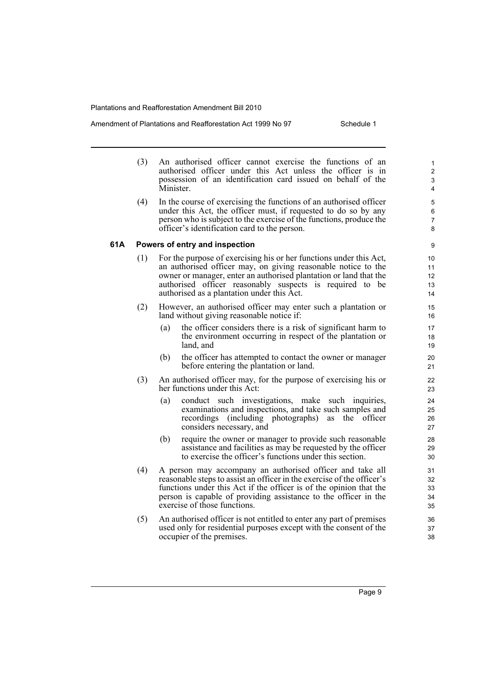Amendment of Plantations and Reafforestation Act 1999 No 97 Schedule 1

- (3) An authorised officer cannot exercise the functions of an authorised officer under this Act unless the officer is in possession of an identification card issued on behalf of the Minister.
- (4) In the course of exercising the functions of an authorised officer under this Act, the officer must, if requested to do so by any person who is subject to the exercise of the functions, produce the officer's identification card to the person.

### **61A Powers of entry and inspection**

- (1) For the purpose of exercising his or her functions under this Act, an authorised officer may, on giving reasonable notice to the owner or manager, enter an authorised plantation or land that the authorised officer reasonably suspects is required to be authorised as a plantation under this Act.
- (2) However, an authorised officer may enter such a plantation or land without giving reasonable notice if:
	- (a) the officer considers there is a risk of significant harm to the environment occurring in respect of the plantation or land, and
	- (b) the officer has attempted to contact the owner or manager before entering the plantation or land.
- (3) An authorised officer may, for the purpose of exercising his or her functions under this Act:
	- (a) conduct such investigations, make such inquiries, examinations and inspections, and take such samples and recordings (including photographs) as the officer considers necessary, and
	- (b) require the owner or manager to provide such reasonable assistance and facilities as may be requested by the officer to exercise the officer's functions under this section.
- (4) A person may accompany an authorised officer and take all reasonable steps to assist an officer in the exercise of the officer's functions under this Act if the officer is of the opinion that the person is capable of providing assistance to the officer in the exercise of those functions.
- (5) An authorised officer is not entitled to enter any part of premises used only for residential purposes except with the consent of the occupier of the premises.

Page 9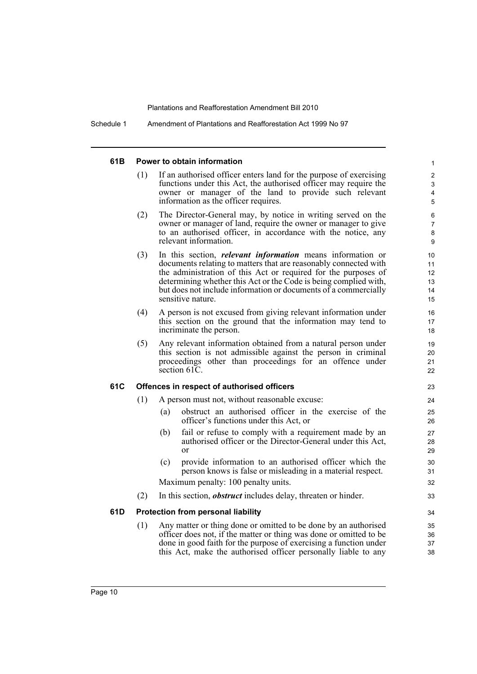Schedule 1 Amendment of Plantations and Reafforestation Act 1999 No 97

#### **61B Power to obtain information**

(1) If an authorised officer enters land for the purpose of exercising functions under this Act, the authorised officer may require the owner or manager of the land to provide such relevant information as the officer requires.

- (2) The Director-General may, by notice in writing served on the owner or manager of land, require the owner or manager to give to an authorised officer, in accordance with the notice, any relevant information.
- (3) In this section, *relevant information* means information or documents relating to matters that are reasonably connected with the administration of this Act or required for the purposes of determining whether this Act or the Code is being complied with, but does not include information or documents of a commercially sensitive nature.
- (4) A person is not excused from giving relevant information under this section on the ground that the information may tend to incriminate the person.
- (5) Any relevant information obtained from a natural person under this section is not admissible against the person in criminal proceedings other than proceedings for an offence under section 61C.

### **61C Offences in respect of authorised officers**

- (1) A person must not, without reasonable excuse:
	- (a) obstruct an authorised officer in the exercise of the officer's functions under this Act, or
	- (b) fail or refuse to comply with a requirement made by an authorised officer or the Director-General under this Act, or
	- (c) provide information to an authorised officer which the person knows is false or misleading in a material respect. Maximum penalty: 100 penalty units.
- (2) In this section, *obstruct* includes delay, threaten or hinder.

### **61D Protection from personal liability**

(1) Any matter or thing done or omitted to be done by an authorised officer does not, if the matter or thing was done or omitted to be done in good faith for the purpose of exercising a function under this Act, make the authorised officer personally liable to any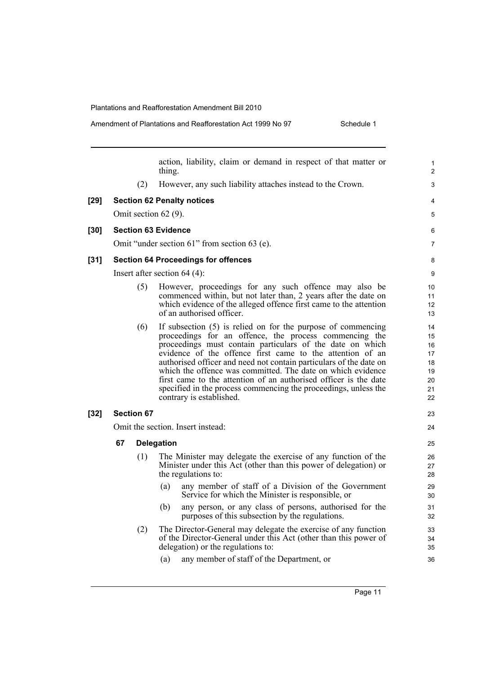Amendment of Plantations and Reafforestation Act 1999 No 97 Schedule 1

action, liability, claim or demand in respect of that matter or thing. (2) However, any such liability attaches instead to the Crown. **[29] Section 62 Penalty notices** Omit section 62 (9). **[30] Section 63 Evidence** Omit "under section 61" from section 63 (e). **[31] Section 64 Proceedings for offences** Insert after section 64 (4): (5) However, proceedings for any such offence may also be commenced within, but not later than, 2 years after the date on which evidence of the alleged offence first came to the attention of an authorised officer. (6) If subsection (5) is relied on for the purpose of commencing proceedings for an offence, the process commencing the proceedings must contain particulars of the date on which evidence of the offence first came to the attention of an authorised officer and need not contain particulars of the date on which the offence was committed. The date on which evidence first came to the attention of an authorised officer is the date specified in the process commencing the proceedings, unless the contrary is established. **[32] Section 67** Omit the section. Insert instead: **67 Delegation** (1) The Minister may delegate the exercise of any function of the Minister under this Act (other than this power of delegation) or the regulations to: (a) any member of staff of a Division of the Government Service for which the Minister is responsible, or (b) any person, or any class of persons, authorised for the purposes of this subsection by the regulations. (2) The Director-General may delegate the exercise of any function of the Director-General under this Act (other than this power of delegation) or the regulations to: (a) any member of staff of the Department, or 1  $\overline{2}$ 3 4 5 6 7 8 9 10 11 12 13  $14$ 15 16 17 18 19 20 21 22 23 24 25 26 27 28 29 30 31 32 33 34 35 36